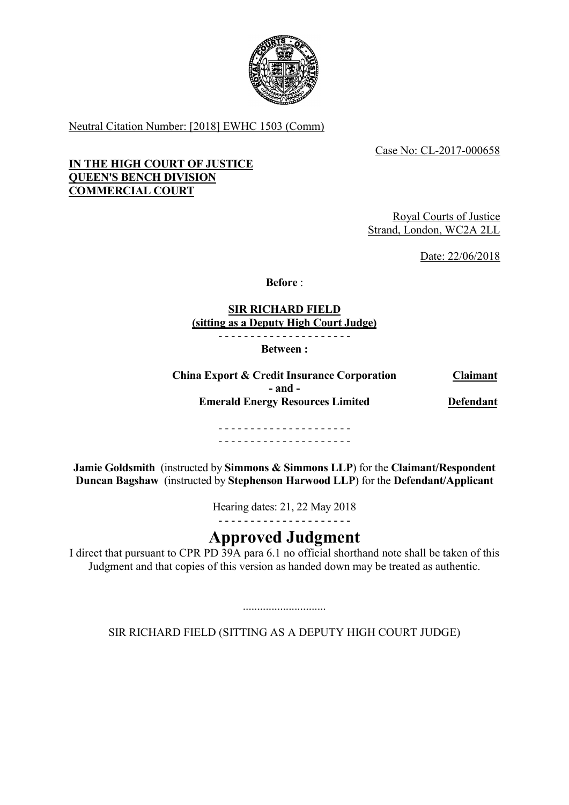

Neutral Citation Number: [2018] EWHC 1503 (Comm)

Case No: CL-2017-000658

## IN THE HIGH COURT OF JUSTICE QUEEN'S BENCH DIVISION COMMERCIAL COURT

Royal Courts of Justice Strand, London, WC2A 2LL

Date: 22/06/2018

Before :

# SIR RICHARD FIELD (sitting as a Deputy High Court Judge)

- - - - - - - - - - - - - - - - - - - - -

Between :

 China Export & Credit Insurance Corporation Claimant - and - **Emerald Energy Resources Limited Defendant** 

- - - - - - - - - - - - - - - - - - - - - - - - - - - - - - - - - - - - - - - - - -

Jamie Goldsmith (instructed by Simmons & Simmons LLP) for the Claimant/Respondent Duncan Bagshaw (instructed by Stephenson Harwood LLP) for the Defendant/Applicant

> Hearing dates: 21, 22 May 2018 - - - - - - - - - - - - - - - - - - - - -

# Approved Judgment

I direct that pursuant to CPR PD 39A para 6.1 no official shorthand note shall be taken of this Judgment and that copies of this version as handed down may be treated as authentic.

.............................

SIR RICHARD FIELD (SITTING AS A DEPUTY HIGH COURT JUDGE)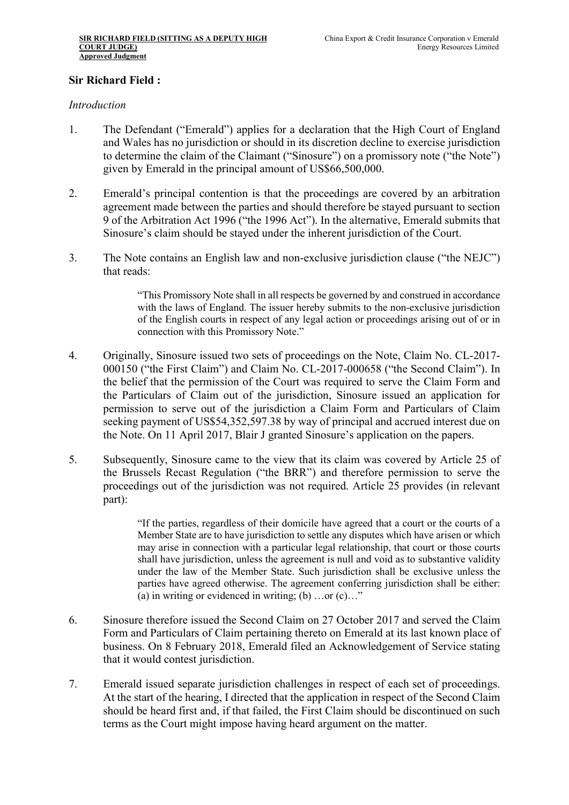# Sir Richard Field :

#### **Introduction**

- 1. The Defendant ("Emerald") applies for a declaration that the High Court of England and Wales has no jurisdiction or should in its discretion decline to exercise jurisdiction to determine the claim of the Claimant ("Sinosure") on a promissory note ("the Note") given by Emerald in the principal amount of US\$66,500,000.
- 2. Emerald's principal contention is that the proceedings are covered by an arbitration agreement made between the parties and should therefore be stayed pursuant to section 9 of the Arbitration Act 1996 ("the 1996 Act"). In the alternative, Emerald submits that Sinosure's claim should be stayed under the inherent jurisdiction of the Court.
- 3. The Note contains an English law and non-exclusive jurisdiction clause ("the NEJC") that reads:

"This Promissory Note shall in all respects be governed by and construed in accordance with the laws of England. The issuer hereby submits to the non-exclusive jurisdiction of the English courts in respect of any legal action or proceedings arising out of or in connection with this Promissory Note."

- 4. Originally, Sinosure issued two sets of proceedings on the Note, Claim No. CL-2017- 000150 ("the First Claim") and Claim No. CL-2017-000658 ("the Second Claim"). In the belief that the permission of the Court was required to serve the Claim Form and the Particulars of Claim out of the jurisdiction, Sinosure issued an application for permission to serve out of the jurisdiction a Claim Form and Particulars of Claim seeking payment of US\$54,352,597.38 by way of principal and accrued interest due on the Note. On 11 April 2017, Blair J granted Sinosure's application on the papers.
- 5. Subsequently, Sinosure came to the view that its claim was covered by Article 25 of the Brussels Recast Regulation ("the BRR") and therefore permission to serve the proceedings out of the jurisdiction was not required. Article 25 provides (in relevant part):

"If the parties, regardless of their domicile have agreed that a court or the courts of a Member State are to have jurisdiction to settle any disputes which have arisen or which may arise in connection with a particular legal relationship, that court or those courts shall have jurisdiction, unless the agreement is null and void as to substantive validity under the law of the Member State. Such jurisdiction shall be exclusive unless the parties have agreed otherwise. The agreement conferring jurisdiction shall be either: (a) in writing or evidenced in writing; (b) ... or  $(c)$ ..."

- 6. Sinosure therefore issued the Second Claim on 27 October 2017 and served the Claim Form and Particulars of Claim pertaining thereto on Emerald at its last known place of business. On 8 February 2018, Emerald filed an Acknowledgement of Service stating that it would contest jurisdiction.
- 7. Emerald issued separate jurisdiction challenges in respect of each set of proceedings. At the start of the hearing, I directed that the application in respect of the Second Claim should be heard first and, if that failed, the First Claim should be discontinued on such terms as the Court might impose having heard argument on the matter.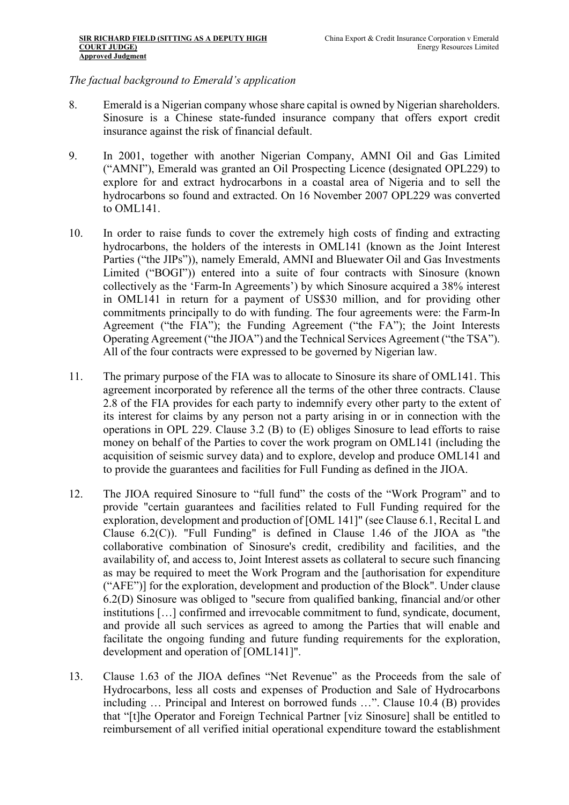### The factual background to Emerald's application

- 8. Emerald is a Nigerian company whose share capital is owned by Nigerian shareholders. Sinosure is a Chinese state-funded insurance company that offers export credit insurance against the risk of financial default.
- 9. In 2001, together with another Nigerian Company, AMNI Oil and Gas Limited ("AMNI"), Emerald was granted an Oil Prospecting Licence (designated OPL229) to explore for and extract hydrocarbons in a coastal area of Nigeria and to sell the hydrocarbons so found and extracted. On 16 November 2007 OPL229 was converted to OML141.
- 10. In order to raise funds to cover the extremely high costs of finding and extracting hydrocarbons, the holders of the interests in OML141 (known as the Joint Interest Parties ("the JIPs")), namely Emerald, AMNI and Bluewater Oil and Gas Investments Limited ("BOGI")) entered into a suite of four contracts with Sinosure (known collectively as the 'Farm-In Agreements') by which Sinosure acquired a 38% interest in OML141 in return for a payment of US\$30 million, and for providing other commitments principally to do with funding. The four agreements were: the Farm-In Agreement ("the FIA"); the Funding Agreement ("the FA"); the Joint Interests Operating Agreement ("the JIOA") and the Technical Services Agreement ("the TSA"). All of the four contracts were expressed to be governed by Nigerian law.
- 11. The primary purpose of the FIA was to allocate to Sinosure its share of OML141. This agreement incorporated by reference all the terms of the other three contracts. Clause 2.8 of the FIA provides for each party to indemnify every other party to the extent of its interest for claims by any person not a party arising in or in connection with the operations in OPL 229. Clause 3.2 (B) to (E) obliges Sinosure to lead efforts to raise money on behalf of the Parties to cover the work program on OML141 (including the acquisition of seismic survey data) and to explore, develop and produce OML141 and to provide the guarantees and facilities for Full Funding as defined in the JIOA.
- 12. The JIOA required Sinosure to "full fund" the costs of the "Work Program" and to provide "certain guarantees and facilities related to Full Funding required for the exploration, development and production of [OML 141]" (see Clause 6.1, Recital L and Clause 6.2(C)). "Full Funding" is defined in Clause 1.46 of the JIOA as "the collaborative combination of Sinosure's credit, credibility and facilities, and the availability of, and access to, Joint Interest assets as collateral to secure such financing as may be required to meet the Work Program and the [authorisation for expenditure ("AFE")] for the exploration, development and production of the Block". Under clause 6.2(D) Sinosure was obliged to "secure from qualified banking, financial and/or other institutions […] confirmed and irrevocable commitment to fund, syndicate, document, and provide all such services as agreed to among the Parties that will enable and facilitate the ongoing funding and future funding requirements for the exploration, development and operation of [OML141]".
- 13. Clause 1.63 of the JIOA defines "Net Revenue" as the Proceeds from the sale of Hydrocarbons, less all costs and expenses of Production and Sale of Hydrocarbons including … Principal and Interest on borrowed funds …". Clause 10.4 (B) provides that "[t]he Operator and Foreign Technical Partner [viz Sinosure] shall be entitled to reimbursement of all verified initial operational expenditure toward the establishment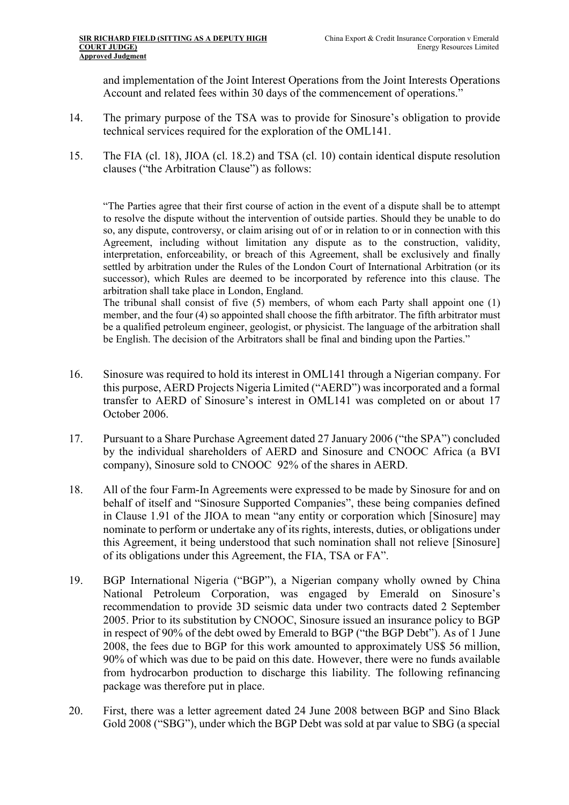and implementation of the Joint Interest Operations from the Joint Interests Operations Account and related fees within 30 days of the commencement of operations."

- 14. The primary purpose of the TSA was to provide for Sinosure's obligation to provide technical services required for the exploration of the OML141.
- 15. The FIA (cl. 18), JIOA (cl. 18.2) and TSA (cl. 10) contain identical dispute resolution clauses ("the Arbitration Clause") as follows:

"The Parties agree that their first course of action in the event of a dispute shall be to attempt to resolve the dispute without the intervention of outside parties. Should they be unable to do so, any dispute, controversy, or claim arising out of or in relation to or in connection with this Agreement, including without limitation any dispute as to the construction, validity, interpretation, enforceability, or breach of this Agreement, shall be exclusively and finally settled by arbitration under the Rules of the London Court of International Arbitration (or its successor), which Rules are deemed to be incorporated by reference into this clause. The arbitration shall take place in London, England.

The tribunal shall consist of five (5) members, of whom each Party shall appoint one (1) member, and the four (4) so appointed shall choose the fifth arbitrator. The fifth arbitrator must be a qualified petroleum engineer, geologist, or physicist. The language of the arbitration shall be English. The decision of the Arbitrators shall be final and binding upon the Parties."

- 16. Sinosure was required to hold its interest in OML141 through a Nigerian company. For this purpose, AERD Projects Nigeria Limited ("AERD") was incorporated and a formal transfer to AERD of Sinosure's interest in OML141 was completed on or about 17 October 2006.
- 17. Pursuant to a Share Purchase Agreement dated 27 January 2006 ("the SPA") concluded by the individual shareholders of AERD and Sinosure and CNOOC Africa (a BVI company), Sinosure sold to CNOOC 92% of the shares in AERD.
- 18. All of the four Farm-In Agreements were expressed to be made by Sinosure for and on behalf of itself and "Sinosure Supported Companies", these being companies defined in Clause 1.91 of the JIOA to mean "any entity or corporation which [Sinosure] may nominate to perform or undertake any of its rights, interests, duties, or obligations under this Agreement, it being understood that such nomination shall not relieve [Sinosure] of its obligations under this Agreement, the FIA, TSA or FA".
- 19. BGP International Nigeria ("BGP"), a Nigerian company wholly owned by China National Petroleum Corporation, was engaged by Emerald on Sinosure's recommendation to provide 3D seismic data under two contracts dated 2 September 2005. Prior to its substitution by CNOOC, Sinosure issued an insurance policy to BGP in respect of 90% of the debt owed by Emerald to BGP ("the BGP Debt"). As of 1 June 2008, the fees due to BGP for this work amounted to approximately US\$ 56 million, 90% of which was due to be paid on this date. However, there were no funds available from hydrocarbon production to discharge this liability. The following refinancing package was therefore put in place.
- 20. First, there was a letter agreement dated 24 June 2008 between BGP and Sino Black Gold 2008 ("SBG"), under which the BGP Debt was sold at par value to SBG (a special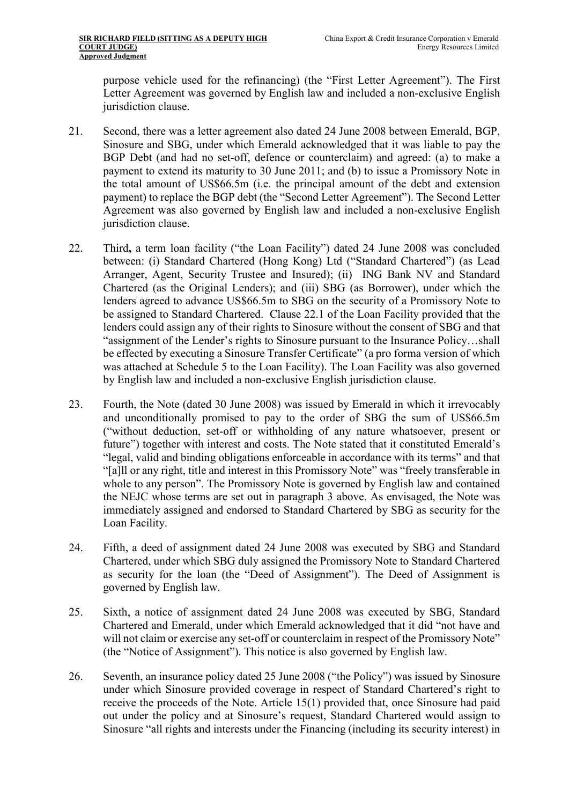purpose vehicle used for the refinancing) (the "First Letter Agreement"). The First Letter Agreement was governed by English law and included a non-exclusive English jurisdiction clause.

- 21. Second, there was a letter agreement also dated 24 June 2008 between Emerald, BGP, Sinosure and SBG, under which Emerald acknowledged that it was liable to pay the BGP Debt (and had no set-off, defence or counterclaim) and agreed: (a) to make a payment to extend its maturity to 30 June 2011; and (b) to issue a Promissory Note in the total amount of US\$66.5m (i.e. the principal amount of the debt and extension payment) to replace the BGP debt (the "Second Letter Agreement"). The Second Letter Agreement was also governed by English law and included a non-exclusive English jurisdiction clause.
- 22. Third, a term loan facility ("the Loan Facility") dated 24 June 2008 was concluded between: (i) Standard Chartered (Hong Kong) Ltd ("Standard Chartered") (as Lead Arranger, Agent, Security Trustee and Insured); (ii) ING Bank NV and Standard Chartered (as the Original Lenders); and (iii) SBG (as Borrower), under which the lenders agreed to advance US\$66.5m to SBG on the security of a Promissory Note to be assigned to Standard Chartered. Clause 22.1 of the Loan Facility provided that the lenders could assign any of their rights to Sinosure without the consent of SBG and that "assignment of the Lender's rights to Sinosure pursuant to the Insurance Policy…shall be effected by executing a Sinosure Transfer Certificate" (a pro forma version of which was attached at Schedule 5 to the Loan Facility). The Loan Facility was also governed by English law and included a non-exclusive English jurisdiction clause.
- 23. Fourth, the Note (dated 30 June 2008) was issued by Emerald in which it irrevocably and unconditionally promised to pay to the order of SBG the sum of US\$66.5m ("without deduction, set-off or withholding of any nature whatsoever, present or future") together with interest and costs. The Note stated that it constituted Emerald's "legal, valid and binding obligations enforceable in accordance with its terms" and that "[a]ll or any right, title and interest in this Promissory Note" was "freely transferable in whole to any person". The Promissory Note is governed by English law and contained the NEJC whose terms are set out in paragraph 3 above. As envisaged, the Note was immediately assigned and endorsed to Standard Chartered by SBG as security for the Loan Facility.
- 24. Fifth, a deed of assignment dated 24 June 2008 was executed by SBG and Standard Chartered, under which SBG duly assigned the Promissory Note to Standard Chartered as security for the loan (the "Deed of Assignment"). The Deed of Assignment is governed by English law.
- 25. Sixth, a notice of assignment dated 24 June 2008 was executed by SBG, Standard Chartered and Emerald, under which Emerald acknowledged that it did "not have and will not claim or exercise any set-off or counterclaim in respect of the Promissory Note" (the "Notice of Assignment"). This notice is also governed by English law.
- 26. Seventh, an insurance policy dated 25 June 2008 ("the Policy") was issued by Sinosure under which Sinosure provided coverage in respect of Standard Chartered's right to receive the proceeds of the Note. Article 15(1) provided that, once Sinosure had paid out under the policy and at Sinosure's request, Standard Chartered would assign to Sinosure "all rights and interests under the Financing (including its security interest) in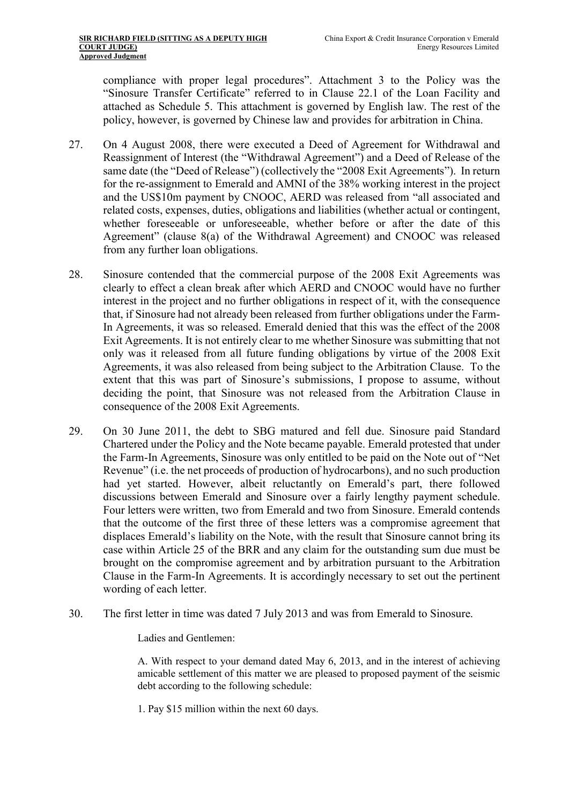compliance with proper legal procedures". Attachment 3 to the Policy was the "Sinosure Transfer Certificate" referred to in Clause 22.1 of the Loan Facility and attached as Schedule 5. This attachment is governed by English law. The rest of the policy, however, is governed by Chinese law and provides for arbitration in China.

- 27. On 4 August 2008, there were executed a Deed of Agreement for Withdrawal and Reassignment of Interest (the "Withdrawal Agreement") and a Deed of Release of the same date (the "Deed of Release") (collectively the "2008 Exit Agreements"). In return for the re-assignment to Emerald and AMNI of the 38% working interest in the project and the US\$10m payment by CNOOC, AERD was released from "all associated and related costs, expenses, duties, obligations and liabilities (whether actual or contingent, whether foreseeable or unforeseeable, whether before or after the date of this Agreement" (clause 8(a) of the Withdrawal Agreement) and CNOOC was released from any further loan obligations.
- 28. Sinosure contended that the commercial purpose of the 2008 Exit Agreements was clearly to effect a clean break after which AERD and CNOOC would have no further interest in the project and no further obligations in respect of it, with the consequence that, if Sinosure had not already been released from further obligations under the Farm-In Agreements, it was so released. Emerald denied that this was the effect of the 2008 Exit Agreements. It is not entirely clear to me whether Sinosure was submitting that not only was it released from all future funding obligations by virtue of the 2008 Exit Agreements, it was also released from being subject to the Arbitration Clause. To the extent that this was part of Sinosure's submissions, I propose to assume, without deciding the point, that Sinosure was not released from the Arbitration Clause in consequence of the 2008 Exit Agreements.
- 29. On 30 June 2011, the debt to SBG matured and fell due. Sinosure paid Standard Chartered under the Policy and the Note became payable. Emerald protested that under the Farm-In Agreements, Sinosure was only entitled to be paid on the Note out of "Net Revenue" (i.e. the net proceeds of production of hydrocarbons), and no such production had yet started. However, albeit reluctantly on Emerald's part, there followed discussions between Emerald and Sinosure over a fairly lengthy payment schedule. Four letters were written, two from Emerald and two from Sinosure. Emerald contends that the outcome of the first three of these letters was a compromise agreement that displaces Emerald's liability on the Note, with the result that Sinosure cannot bring its case within Article 25 of the BRR and any claim for the outstanding sum due must be brought on the compromise agreement and by arbitration pursuant to the Arbitration Clause in the Farm-In Agreements. It is accordingly necessary to set out the pertinent wording of each letter.
- 30. The first letter in time was dated 7 July 2013 and was from Emerald to Sinosure.

Ladies and Gentlemen:

A. With respect to your demand dated May 6, 2013, and in the interest of achieving amicable settlement of this matter we are pleased to proposed payment of the seismic debt according to the following schedule:

1. Pay \$15 million within the next 60 days.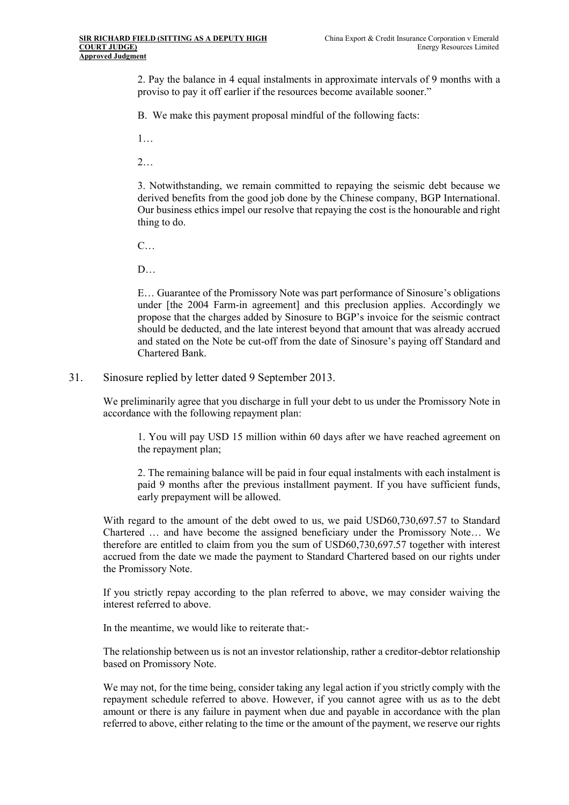2. Pay the balance in 4 equal instalments in approximate intervals of 9 months with a proviso to pay it off earlier if the resources become available sooner."

B. We make this payment proposal mindful of the following facts:

1…

 $2...$ 

3. Notwithstanding, we remain committed to repaying the seismic debt because we derived benefits from the good job done by the Chinese company, BGP International. Our business ethics impel our resolve that repaying the cost is the honourable and right thing to do.

C…

D…

E… Guarantee of the Promissory Note was part performance of Sinosure's obligations under [the 2004 Farm-in agreement] and this preclusion applies. Accordingly we propose that the charges added by Sinosure to BGP's invoice for the seismic contract should be deducted, and the late interest beyond that amount that was already accrued and stated on the Note be cut-off from the date of Sinosure's paying off Standard and Chartered Bank.

31. Sinosure replied by letter dated 9 September 2013.

We preliminarily agree that you discharge in full your debt to us under the Promissory Note in accordance with the following repayment plan:

1. You will pay USD 15 million within 60 days after we have reached agreement on the repayment plan;

2. The remaining balance will be paid in four equal instalments with each instalment is paid 9 months after the previous installment payment. If you have sufficient funds, early prepayment will be allowed.

With regard to the amount of the debt owed to us, we paid USD60,730,697.57 to Standard Chartered … and have become the assigned beneficiary under the Promissory Note… We therefore are entitled to claim from you the sum of USD60,730,697.57 together with interest accrued from the date we made the payment to Standard Chartered based on our rights under the Promissory Note.

If you strictly repay according to the plan referred to above, we may consider waiving the interest referred to above.

In the meantime, we would like to reiterate that:-

The relationship between us is not an investor relationship, rather a creditor-debtor relationship based on Promissory Note.

We may not, for the time being, consider taking any legal action if you strictly comply with the repayment schedule referred to above. However, if you cannot agree with us as to the debt amount or there is any failure in payment when due and payable in accordance with the plan referred to above, either relating to the time or the amount of the payment, we reserve our rights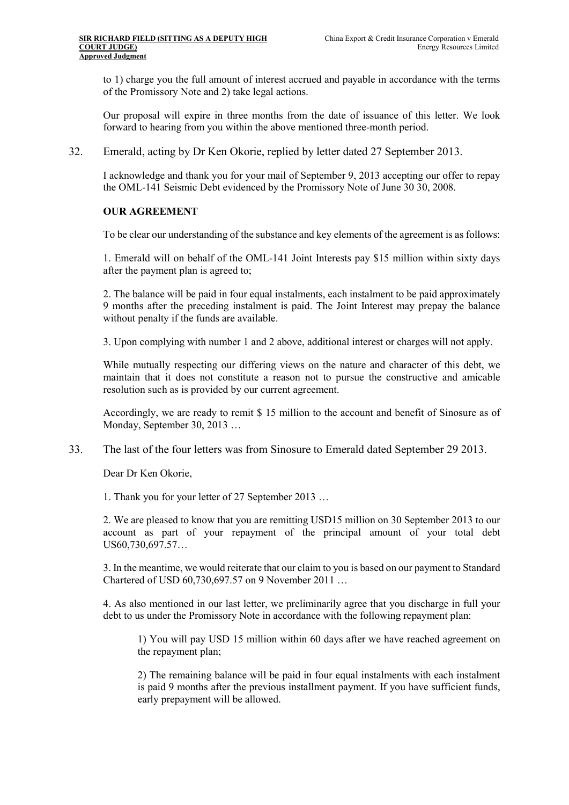to 1) charge you the full amount of interest accrued and payable in accordance with the terms of the Promissory Note and 2) take legal actions.

Our proposal will expire in three months from the date of issuance of this letter. We look forward to hearing from you within the above mentioned three-month period.

32. Emerald, acting by Dr Ken Okorie, replied by letter dated 27 September 2013.

I acknowledge and thank you for your mail of September 9, 2013 accepting our offer to repay the OML-141 Seismic Debt evidenced by the Promissory Note of June 30 30, 2008.

#### OUR AGREEMENT

To be clear our understanding of the substance and key elements of the agreement is as follows:

1. Emerald will on behalf of the OML-141 Joint Interests pay \$15 million within sixty days after the payment plan is agreed to;

2. The balance will be paid in four equal instalments, each instalment to be paid approximately 9 months after the preceding instalment is paid. The Joint Interest may prepay the balance without penalty if the funds are available.

3. Upon complying with number 1 and 2 above, additional interest or charges will not apply.

While mutually respecting our differing views on the nature and character of this debt, we maintain that it does not constitute a reason not to pursue the constructive and amicable resolution such as is provided by our current agreement.

Accordingly, we are ready to remit \$ 15 million to the account and benefit of Sinosure as of Monday, September 30, 2013 …

33. The last of the four letters was from Sinosure to Emerald dated September 29 2013.

Dear Dr Ken Okorie,

1. Thank you for your letter of 27 September 2013 …

2. We are pleased to know that you are remitting USD15 million on 30 September 2013 to our account as part of your repayment of the principal amount of your total debt US60,730,697.57…

3. In the meantime, we would reiterate that our claim to you is based on our payment to Standard Chartered of USD 60,730,697.57 on 9 November 2011 …

4. As also mentioned in our last letter, we preliminarily agree that you discharge in full your debt to us under the Promissory Note in accordance with the following repayment plan:

1) You will pay USD 15 million within 60 days after we have reached agreement on the repayment plan;

2) The remaining balance will be paid in four equal instalments with each instalment is paid 9 months after the previous installment payment. If you have sufficient funds, early prepayment will be allowed.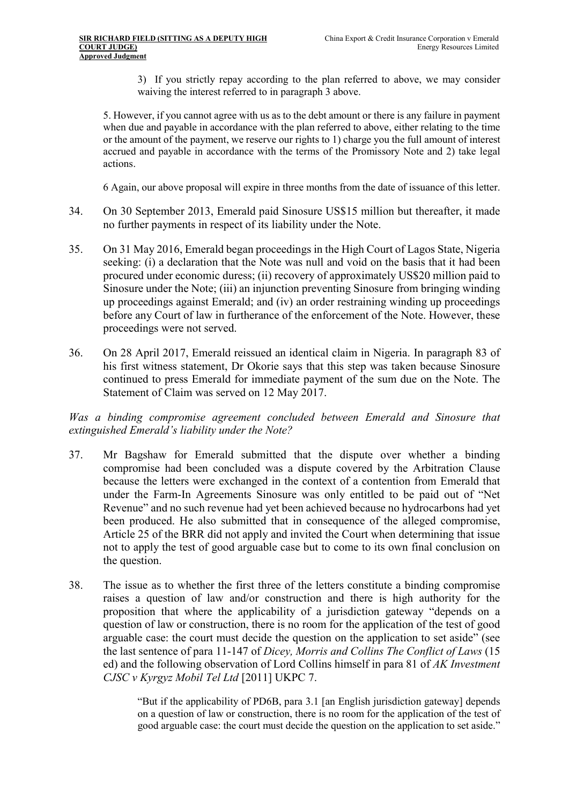3) If you strictly repay according to the plan referred to above, we may consider waiving the interest referred to in paragraph 3 above.

5. However, if you cannot agree with us as to the debt amount or there is any failure in payment when due and payable in accordance with the plan referred to above, either relating to the time or the amount of the payment, we reserve our rights to 1) charge you the full amount of interest accrued and payable in accordance with the terms of the Promissory Note and 2) take legal actions.

6 Again, our above proposal will expire in three months from the date of issuance of this letter.

- 34. On 30 September 2013, Emerald paid Sinosure US\$15 million but thereafter, it made no further payments in respect of its liability under the Note.
- 35. On 31 May 2016, Emerald began proceedings in the High Court of Lagos State, Nigeria seeking: (i) a declaration that the Note was null and void on the basis that it had been procured under economic duress; (ii) recovery of approximately US\$20 million paid to Sinosure under the Note; (iii) an injunction preventing Sinosure from bringing winding up proceedings against Emerald; and (iv) an order restraining winding up proceedings before any Court of law in furtherance of the enforcement of the Note. However, these proceedings were not served.
- 36. On 28 April 2017, Emerald reissued an identical claim in Nigeria. In paragraph 83 of his first witness statement, Dr Okorie says that this step was taken because Sinosure continued to press Emerald for immediate payment of the sum due on the Note. The Statement of Claim was served on 12 May 2017.

Was a binding compromise agreement concluded between Emerald and Sinosure that extinguished Emerald's liability under the Note?

- 37. Mr Bagshaw for Emerald submitted that the dispute over whether a binding compromise had been concluded was a dispute covered by the Arbitration Clause because the letters were exchanged in the context of a contention from Emerald that under the Farm-In Agreements Sinosure was only entitled to be paid out of "Net Revenue" and no such revenue had yet been achieved because no hydrocarbons had yet been produced. He also submitted that in consequence of the alleged compromise, Article 25 of the BRR did not apply and invited the Court when determining that issue not to apply the test of good arguable case but to come to its own final conclusion on the question.
- 38. The issue as to whether the first three of the letters constitute a binding compromise raises a question of law and/or construction and there is high authority for the proposition that where the applicability of a jurisdiction gateway "depends on a question of law or construction, there is no room for the application of the test of good arguable case: the court must decide the question on the application to set aside" (see the last sentence of para 11-147 of Dicey, Morris and Collins The Conflict of Laws (15 ed) and the following observation of Lord Collins himself in para 81 of AK Investment CJSC v Kyrgyz Mobil Tel Ltd [2011] UKPC 7.

"But if the applicability of PD6B, para 3.1 [an English jurisdiction gateway] depends on a question of law or construction, there is no room for the application of the test of good arguable case: the court must decide the question on the application to set aside."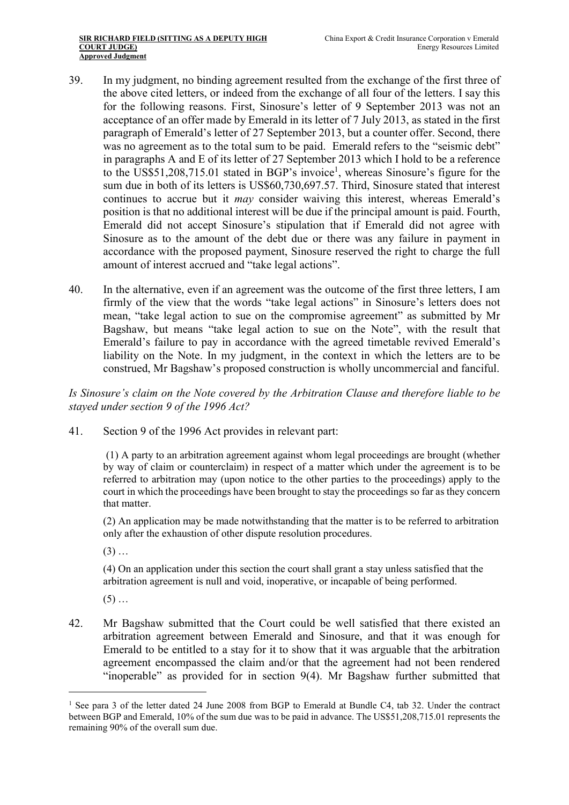- 39. In my judgment, no binding agreement resulted from the exchange of the first three of the above cited letters, or indeed from the exchange of all four of the letters. I say this for the following reasons. First, Sinosure's letter of 9 September 2013 was not an acceptance of an offer made by Emerald in its letter of 7 July 2013, as stated in the first paragraph of Emerald's letter of 27 September 2013, but a counter offer. Second, there was no agreement as to the total sum to be paid. Emerald refers to the "seismic debt" in paragraphs A and E of its letter of 27 September 2013 which I hold to be a reference to the US\$51,208,715.01 stated in BGP's invoice<sup>1</sup>, whereas Sinosure's figure for the sum due in both of its letters is US\$60,730,697.57. Third, Sinosure stated that interest continues to accrue but it may consider waiving this interest, whereas Emerald's position is that no additional interest will be due if the principal amount is paid. Fourth, Emerald did not accept Sinosure's stipulation that if Emerald did not agree with Sinosure as to the amount of the debt due or there was any failure in payment in accordance with the proposed payment, Sinosure reserved the right to charge the full amount of interest accrued and "take legal actions".
- 40. In the alternative, even if an agreement was the outcome of the first three letters, I am firmly of the view that the words "take legal actions" in Sinosure's letters does not mean, "take legal action to sue on the compromise agreement" as submitted by Mr Bagshaw, but means "take legal action to sue on the Note", with the result that Emerald's failure to pay in accordance with the agreed timetable revived Emerald's liability on the Note. In my judgment, in the context in which the letters are to be construed, Mr Bagshaw's proposed construction is wholly uncommercial and fanciful.

Is Sinosure's claim on the Note covered by the Arbitration Clause and therefore liable to be stayed under section 9 of the 1996 Act?

41. Section 9 of the 1996 Act provides in relevant part:

(1) A party to an arbitration agreement against whom legal proceedings are brought (whether by way of claim or counterclaim) in respect of a matter which under the agreement is to be referred to arbitration may (upon notice to the other parties to the proceedings) apply to the court in which the proceedings have been brought to stay the proceedings so far as they concern that matter.

(2) An application may be made notwithstanding that the matter is to be referred to arbitration only after the exhaustion of other dispute resolution procedures.

 $(3)$  ...

(4) On an application under this section the court shall grant a stay unless satisfied that the arbitration agreement is null and void, inoperative, or incapable of being performed.

 $(5)$  ...

-

42. Mr Bagshaw submitted that the Court could be well satisfied that there existed an arbitration agreement between Emerald and Sinosure, and that it was enough for Emerald to be entitled to a stay for it to show that it was arguable that the arbitration agreement encompassed the claim and/or that the agreement had not been rendered "inoperable" as provided for in section 9(4). Mr Bagshaw further submitted that

<sup>&</sup>lt;sup>1</sup> See para 3 of the letter dated 24 June 2008 from BGP to Emerald at Bundle C4, tab 32. Under the contract between BGP and Emerald, 10% of the sum due was to be paid in advance. The US\$51,208,715.01 represents the remaining 90% of the overall sum due.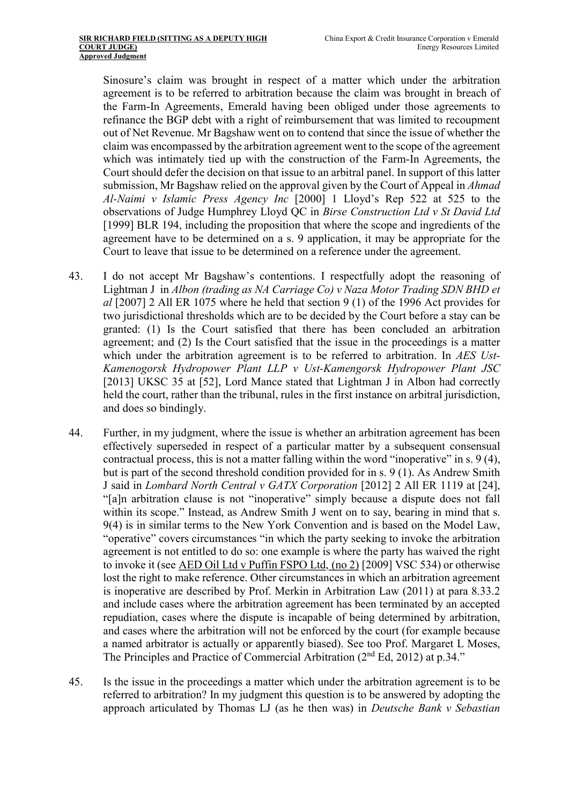Sinosure's claim was brought in respect of a matter which under the arbitration agreement is to be referred to arbitration because the claim was brought in breach of the Farm-In Agreements, Emerald having been obliged under those agreements to refinance the BGP debt with a right of reimbursement that was limited to recoupment out of Net Revenue. Mr Bagshaw went on to contend that since the issue of whether the claim was encompassed by the arbitration agreement went to the scope of the agreement which was intimately tied up with the construction of the Farm-In Agreements, the Court should defer the decision on that issue to an arbitral panel. In support of this latter submission, Mr Bagshaw relied on the approval given by the Court of Appeal in Ahmad Al-Naimi v Islamic Press Agency Inc [2000] 1 Lloyd's Rep 522 at 525 to the observations of Judge Humphrey Lloyd QC in Birse Construction Ltd v St David Ltd [1999] BLR 194, including the proposition that where the scope and ingredients of the agreement have to be determined on a s. 9 application, it may be appropriate for the Court to leave that issue to be determined on a reference under the agreement.

- 43. I do not accept Mr Bagshaw's contentions. I respectfully adopt the reasoning of Lightman J in Albon (trading as NA Carriage Co) v Naza Motor Trading SDN BHD et al  $[2007]$  2 All ER 1075 where he held that section 9 (1) of the 1996 Act provides for two jurisdictional thresholds which are to be decided by the Court before a stay can be granted: (1) Is the Court satisfied that there has been concluded an arbitration agreement; and (2) Is the Court satisfied that the issue in the proceedings is a matter which under the arbitration agreement is to be referred to arbitration. In AES Ust-Kamenogorsk Hydropower Plant LLP v Ust-Kamengorsk Hydropower Plant JSC [2013] UKSC 35 at [52], Lord Mance stated that Lightman J in Albon had correctly held the court, rather than the tribunal, rules in the first instance on arbitral jurisdiction, and does so bindingly.
- 44. Further, in my judgment, where the issue is whether an arbitration agreement has been effectively superseded in respect of a particular matter by a subsequent consensual contractual process, this is not a matter falling within the word "inoperative" in s. 9 (4), but is part of the second threshold condition provided for in s. 9 (1). As Andrew Smith J said in Lombard North Central v GATX Corporation [2012] 2 All ER 1119 at [24], "[a]n arbitration clause is not "inoperative" simply because a dispute does not fall within its scope." Instead, as Andrew Smith J went on to say, bearing in mind that s. 9(4) is in similar terms to the New York Convention and is based on the Model Law, "operative" covers circumstances "in which the party seeking to invoke the arbitration agreement is not entitled to do so: one example is where the party has waived the right to invoke it (see AED Oil Ltd v Puffin FSPO Ltd, (no 2) [2009] VSC 534) or otherwise lost the right to make reference. Other circumstances in which an arbitration agreement is inoperative are described by Prof. Merkin in Arbitration Law (2011) at para 8.33.2 and include cases where the arbitration agreement has been terminated by an accepted repudiation, cases where the dispute is incapable of being determined by arbitration, and cases where the arbitration will not be enforced by the court (for example because a named arbitrator is actually or apparently biased). See too Prof. Margaret L Moses, The Principles and Practice of Commercial Arbitration (2<sup>nd</sup> Ed, 2012) at p.34."
- 45. Is the issue in the proceedings a matter which under the arbitration agreement is to be referred to arbitration? In my judgment this question is to be answered by adopting the approach articulated by Thomas LJ (as he then was) in *Deutsche Bank v Sebastian*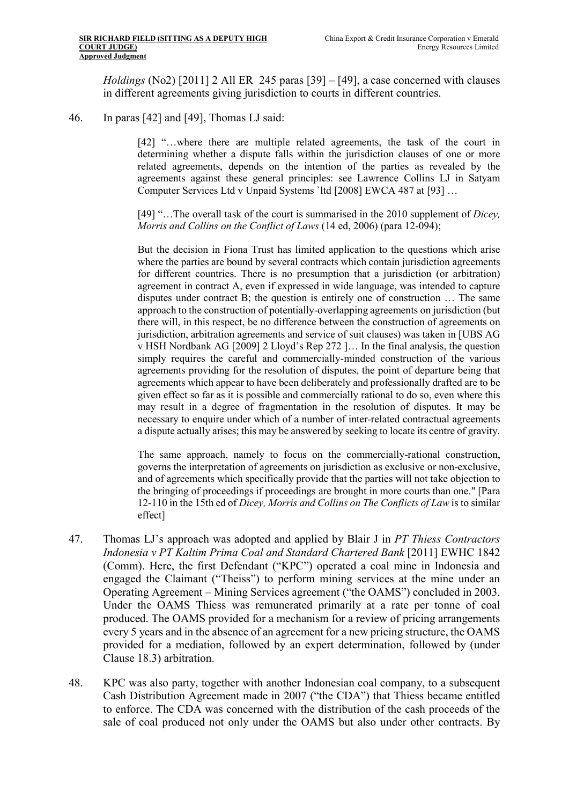Holdings (No2) [2011] 2 All ER 245 paras [39] – [49], a case concerned with clauses in different agreements giving jurisdiction to courts in different countries.

46. In paras [42] and [49], Thomas LJ said:

[42] "…where there are multiple related agreements, the task of the court in determining whether a dispute falls within the jurisdiction clauses of one or more related agreements, depends on the intention of the parties as revealed by the agreements against these general principles: see Lawrence Collins LJ in Satyam Computer Services Ltd v Unpaid Systems `ltd [2008] EWCA 487 at [93] …

[49] "...The overall task of the court is summarised in the 2010 supplement of *Dicey*, Morris and Collins on the Conflict of Laws (14 ed, 2006) (para 12-094);

But the decision in Fiona Trust has limited application to the questions which arise where the parties are bound by several contracts which contain jurisdiction agreements for different countries. There is no presumption that a jurisdiction (or arbitration) agreement in contract A, even if expressed in wide language, was intended to capture disputes under contract B; the question is entirely one of construction … The same approach to the construction of potentially-overlapping agreements on jurisdiction (but there will, in this respect, be no difference between the construction of agreements on jurisdiction, arbitration agreements and service of suit clauses) was taken in [UBS AG v HSH Nordbank AG [2009] 2 Lloyd's Rep 272 ]… In the final analysis, the question simply requires the careful and commercially-minded construction of the various agreements providing for the resolution of disputes, the point of departure being that agreements which appear to have been deliberately and professionally drafted are to be given effect so far as it is possible and commercially rational to do so, even where this may result in a degree of fragmentation in the resolution of disputes. It may be necessary to enquire under which of a number of inter-related contractual agreements a dispute actually arises; this may be answered by seeking to locate its centre of gravity.

The same approach, namely to focus on the commercially-rational construction, governs the interpretation of agreements on jurisdiction as exclusive or non-exclusive, and of agreements which specifically provide that the parties will not take objection to the bringing of proceedings if proceedings are brought in more courts than one." [Para 12-110 in the 15th ed of Dicey, Morris and Collins on The Conflicts of Law is to similar effect]

- 47. Thomas LJ's approach was adopted and applied by Blair J in *PT Thiess Contractors* Indonesia v PT Kaltim Prima Coal and Standard Chartered Bank [2011] EWHC 1842 (Comm). Here, the first Defendant ("KPC") operated a coal mine in Indonesia and engaged the Claimant ("Theiss") to perform mining services at the mine under an Operating Agreement – Mining Services agreement ("the OAMS") concluded in 2003. Under the OAMS Thiess was remunerated primarily at a rate per tonne of coal produced. The OAMS provided for a mechanism for a review of pricing arrangements every 5 years and in the absence of an agreement for a new pricing structure, the OAMS provided for a mediation, followed by an expert determination, followed by (under Clause 18.3) arbitration.
- 48. KPC was also party, together with another Indonesian coal company, to a subsequent Cash Distribution Agreement made in 2007 ("the CDA") that Thiess became entitled to enforce. The CDA was concerned with the distribution of the cash proceeds of the sale of coal produced not only under the OAMS but also under other contracts. By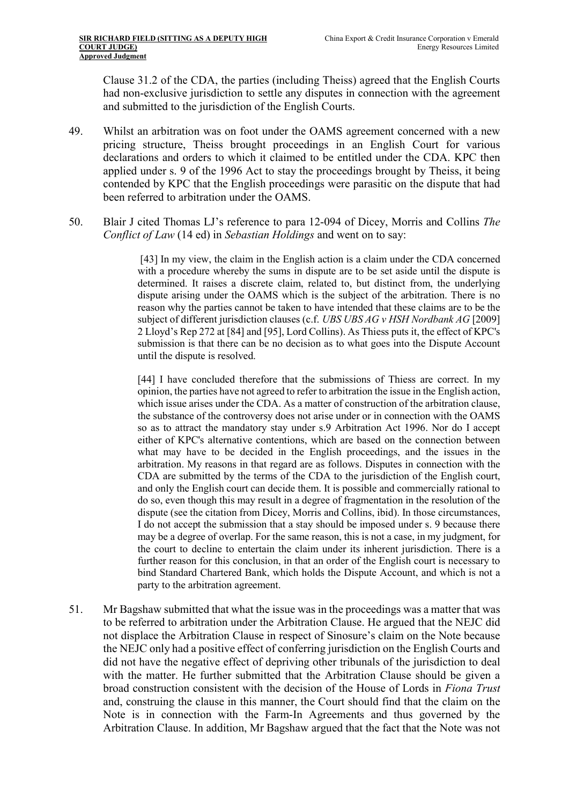Clause 31.2 of the CDA, the parties (including Theiss) agreed that the English Courts had non-exclusive jurisdiction to settle any disputes in connection with the agreement and submitted to the jurisdiction of the English Courts.

- 49. Whilst an arbitration was on foot under the OAMS agreement concerned with a new pricing structure, Theiss brought proceedings in an English Court for various declarations and orders to which it claimed to be entitled under the CDA. KPC then applied under s. 9 of the 1996 Act to stay the proceedings brought by Theiss, it being contended by KPC that the English proceedings were parasitic on the dispute that had been referred to arbitration under the OAMS.
- 50. Blair J cited Thomas LJ's reference to para 12-094 of Dicey, Morris and Collins The Conflict of Law (14 ed) in Sebastian Holdings and went on to say:

 [43] In my view, the claim in the English action is a claim under the CDA concerned with a procedure whereby the sums in dispute are to be set aside until the dispute is determined. It raises a discrete claim, related to, but distinct from, the underlying dispute arising under the OAMS which is the subject of the arbitration. There is no reason why the parties cannot be taken to have intended that these claims are to be the subject of different jurisdiction clauses (c.f. UBS UBS AG v HSH Nordbank AG [2009] 2 Lloyd's Rep 272 at [84] and [95], Lord Collins). As Thiess puts it, the effect of KPC's submission is that there can be no decision as to what goes into the Dispute Account until the dispute is resolved.

[44] I have concluded therefore that the submissions of Thiess are correct. In my opinion, the parties have not agreed to refer to arbitration the issue in the English action, which issue arises under the CDA. As a matter of construction of the arbitration clause, the substance of the controversy does not arise under or in connection with the OAMS so as to attract the mandatory stay under s.9 Arbitration Act 1996. Nor do I accept either of KPC's alternative contentions, which are based on the connection between what may have to be decided in the English proceedings, and the issues in the arbitration. My reasons in that regard are as follows. Disputes in connection with the CDA are submitted by the terms of the CDA to the jurisdiction of the English court, and only the English court can decide them. It is possible and commercially rational to do so, even though this may result in a degree of fragmentation in the resolution of the dispute (see the citation from Dicey, Morris and Collins, ibid). In those circumstances, I do not accept the submission that a stay should be imposed under s. 9 because there may be a degree of overlap. For the same reason, this is not a case, in my judgment, for the court to decline to entertain the claim under its inherent jurisdiction. There is a further reason for this conclusion, in that an order of the English court is necessary to bind Standard Chartered Bank, which holds the Dispute Account, and which is not a party to the arbitration agreement.

51. Mr Bagshaw submitted that what the issue was in the proceedings was a matter that was to be referred to arbitration under the Arbitration Clause. He argued that the NEJC did not displace the Arbitration Clause in respect of Sinosure's claim on the Note because the NEJC only had a positive effect of conferring jurisdiction on the English Courts and did not have the negative effect of depriving other tribunals of the jurisdiction to deal with the matter. He further submitted that the Arbitration Clause should be given a broad construction consistent with the decision of the House of Lords in Fiona Trust and, construing the clause in this manner, the Court should find that the claim on the Note is in connection with the Farm-In Agreements and thus governed by the Arbitration Clause. In addition, Mr Bagshaw argued that the fact that the Note was not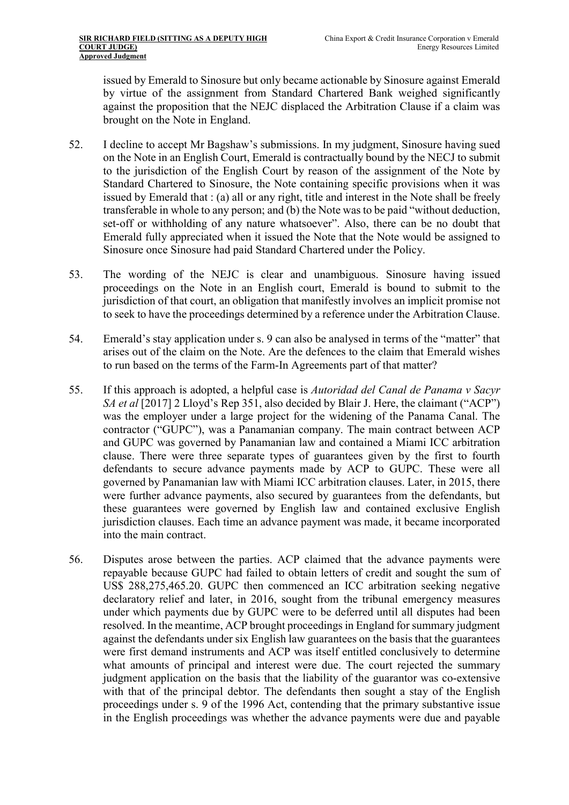issued by Emerald to Sinosure but only became actionable by Sinosure against Emerald by virtue of the assignment from Standard Chartered Bank weighed significantly against the proposition that the NEJC displaced the Arbitration Clause if a claim was brought on the Note in England.

- 52. I decline to accept Mr Bagshaw's submissions. In my judgment, Sinosure having sued on the Note in an English Court, Emerald is contractually bound by the NECJ to submit to the jurisdiction of the English Court by reason of the assignment of the Note by Standard Chartered to Sinosure, the Note containing specific provisions when it was issued by Emerald that : (a) all or any right, title and interest in the Note shall be freely transferable in whole to any person; and (b) the Note was to be paid "without deduction, set-off or withholding of any nature whatsoever". Also, there can be no doubt that Emerald fully appreciated when it issued the Note that the Note would be assigned to Sinosure once Sinosure had paid Standard Chartered under the Policy.
- 53. The wording of the NEJC is clear and unambiguous. Sinosure having issued proceedings on the Note in an English court, Emerald is bound to submit to the jurisdiction of that court, an obligation that manifestly involves an implicit promise not to seek to have the proceedings determined by a reference under the Arbitration Clause.
- 54. Emerald's stay application under s. 9 can also be analysed in terms of the "matter" that arises out of the claim on the Note. Are the defences to the claim that Emerald wishes to run based on the terms of the Farm-In Agreements part of that matter?
- 55. If this approach is adopted, a helpful case is Autoridad del Canal de Panama v Sacyr SA et al [2017] 2 Lloyd's Rep 351, also decided by Blair J. Here, the claimant ("ACP") was the employer under a large project for the widening of the Panama Canal. The contractor ("GUPC"), was a Panamanian company. The main contract between ACP and GUPC was governed by Panamanian law and contained a Miami ICC arbitration clause. There were three separate types of guarantees given by the first to fourth defendants to secure advance payments made by ACP to GUPC. These were all governed by Panamanian law with Miami ICC arbitration clauses. Later, in 2015, there were further advance payments, also secured by guarantees from the defendants, but these guarantees were governed by English law and contained exclusive English jurisdiction clauses. Each time an advance payment was made, it became incorporated into the main contract.
- 56. Disputes arose between the parties. ACP claimed that the advance payments were repayable because GUPC had failed to obtain letters of credit and sought the sum of US\$ 288,275,465.20. GUPC then commenced an ICC arbitration seeking negative declaratory relief and later, in 2016, sought from the tribunal emergency measures under which payments due by GUPC were to be deferred until all disputes had been resolved. In the meantime, ACP brought proceedings in England for summary judgment against the defendants under six English law guarantees on the basis that the guarantees were first demand instruments and ACP was itself entitled conclusively to determine what amounts of principal and interest were due. The court rejected the summary judgment application on the basis that the liability of the guarantor was co-extensive with that of the principal debtor. The defendants then sought a stay of the English proceedings under s. 9 of the 1996 Act, contending that the primary substantive issue in the English proceedings was whether the advance payments were due and payable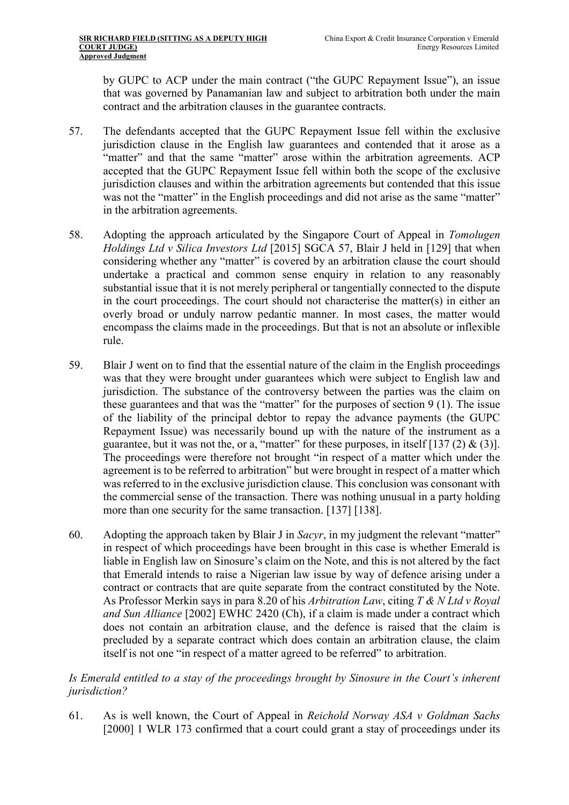by GUPC to ACP under the main contract ("the GUPC Repayment Issue"), an issue that was governed by Panamanian law and subject to arbitration both under the main contract and the arbitration clauses in the guarantee contracts.

- 57. The defendants accepted that the GUPC Repayment Issue fell within the exclusive jurisdiction clause in the English law guarantees and contended that it arose as a "matter" and that the same "matter" arose within the arbitration agreements. ACP accepted that the GUPC Repayment Issue fell within both the scope of the exclusive jurisdiction clauses and within the arbitration agreements but contended that this issue was not the "matter" in the English proceedings and did not arise as the same "matter" in the arbitration agreements.
- 58. Adopting the approach articulated by the Singapore Court of Appeal in Tomolugen Holdings Ltd v Silica Investors Ltd [2015] SGCA 57, Blair J held in [129] that when considering whether any "matter" is covered by an arbitration clause the court should undertake a practical and common sense enquiry in relation to any reasonably substantial issue that it is not merely peripheral or tangentially connected to the dispute in the court proceedings. The court should not characterise the matter(s) in either an overly broad or unduly narrow pedantic manner. In most cases, the matter would encompass the claims made in the proceedings. But that is not an absolute or inflexible rule.
- 59. Blair J went on to find that the essential nature of the claim in the English proceedings was that they were brought under guarantees which were subject to English law and jurisdiction. The substance of the controversy between the parties was the claim on these guarantees and that was the "matter" for the purposes of section  $9(1)$ . The issue of the liability of the principal debtor to repay the advance payments (the GUPC Repayment Issue) was necessarily bound up with the nature of the instrument as a guarantee, but it was not the, or a, "matter" for these purposes, in itself  $[137 (2) \& (3)]$ . The proceedings were therefore not brought "in respect of a matter which under the agreement is to be referred to arbitration" but were brought in respect of a matter which was referred to in the exclusive jurisdiction clause. This conclusion was consonant with the commercial sense of the transaction. There was nothing unusual in a party holding more than one security for the same transaction. [137] [138].
- 60. Adopting the approach taken by Blair J in  $Sacyr$ , in my judgment the relevant "matter" in respect of which proceedings have been brought in this case is whether Emerald is liable in English law on Sinosure's claim on the Note, and this is not altered by the fact that Emerald intends to raise a Nigerian law issue by way of defence arising under a contract or contracts that are quite separate from the contract constituted by the Note. As Professor Merkin says in para 8.20 of his Arbitration Law, citing T & N Ltd v Royal and Sun Alliance [2002] EWHC 2420 (Ch), if a claim is made under a contract which does not contain an arbitration clause, and the defence is raised that the claim is precluded by a separate contract which does contain an arbitration clause, the claim itself is not one "in respect of a matter agreed to be referred" to arbitration.

# Is Emerald entitled to a stay of the proceedings brought by Sinosure in the Court's inherent jurisdiction?

61. As is well known, the Court of Appeal in Reichold Norway ASA v Goldman Sachs [2000] 1 WLR 173 confirmed that a court could grant a stay of proceedings under its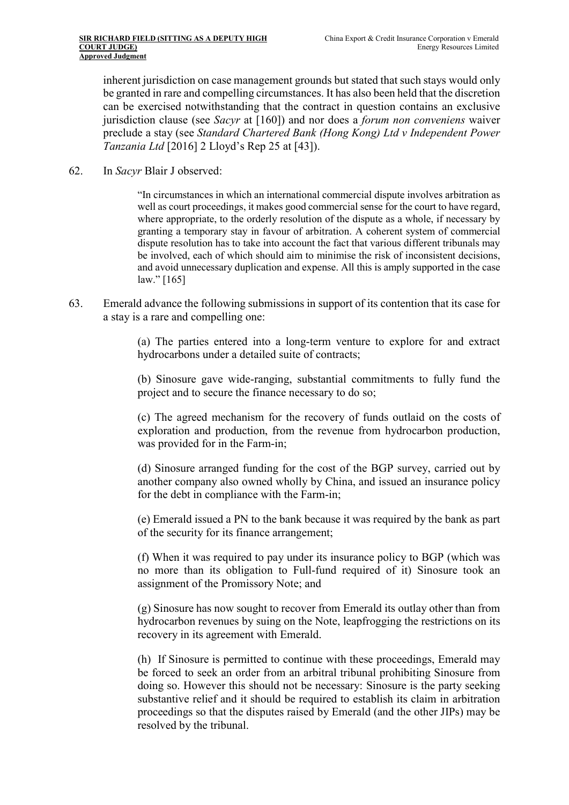inherent jurisdiction on case management grounds but stated that such stays would only be granted in rare and compelling circumstances. It has also been held that the discretion can be exercised notwithstanding that the contract in question contains an exclusive jurisdiction clause (see Sacyr at [160]) and nor does a forum non conveniens waiver preclude a stay (see Standard Chartered Bank (Hong Kong) Ltd v Independent Power Tanzania Ltd [2016] 2 Lloyd's Rep 25 at [43]).

### 62. In Sacyr Blair J observed:

"In circumstances in which an international commercial dispute involves arbitration as well as court proceedings, it makes good commercial sense for the court to have regard, where appropriate, to the orderly resolution of the dispute as a whole, if necessary by granting a temporary stay in favour of arbitration. A coherent system of commercial dispute resolution has to take into account the fact that various different tribunals may be involved, each of which should aim to minimise the risk of inconsistent decisions, and avoid unnecessary duplication and expense. All this is amply supported in the case law." [165]

63. Emerald advance the following submissions in support of its contention that its case for a stay is a rare and compelling one:

> (a) The parties entered into a long-term venture to explore for and extract hydrocarbons under a detailed suite of contracts;

> (b) Sinosure gave wide-ranging, substantial commitments to fully fund the project and to secure the finance necessary to do so;

> (c) The agreed mechanism for the recovery of funds outlaid on the costs of exploration and production, from the revenue from hydrocarbon production, was provided for in the Farm-in;

> (d) Sinosure arranged funding for the cost of the BGP survey, carried out by another company also owned wholly by China, and issued an insurance policy for the debt in compliance with the Farm-in;

> (e) Emerald issued a PN to the bank because it was required by the bank as part of the security for its finance arrangement;

> (f) When it was required to pay under its insurance policy to BGP (which was no more than its obligation to Full-fund required of it) Sinosure took an assignment of the Promissory Note; and

> (g) Sinosure has now sought to recover from Emerald its outlay other than from hydrocarbon revenues by suing on the Note, leapfrogging the restrictions on its recovery in its agreement with Emerald.

> (h) If Sinosure is permitted to continue with these proceedings, Emerald may be forced to seek an order from an arbitral tribunal prohibiting Sinosure from doing so. However this should not be necessary: Sinosure is the party seeking substantive relief and it should be required to establish its claim in arbitration proceedings so that the disputes raised by Emerald (and the other JIPs) may be resolved by the tribunal.